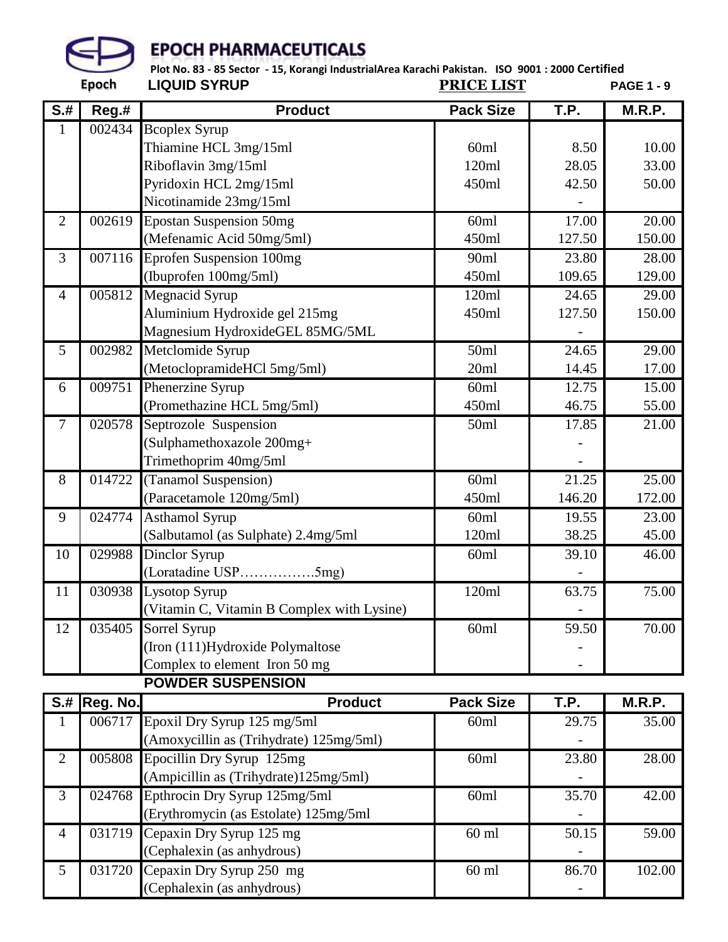

 **LIQUID SYRUP PRICE LIST PAGE 1 - 9 Plot No. 83 - 85 Sector - 15, Korangi IndustrialArea Karachi Pakistan. ISO 9001 : 2000 Certified**

|                                          |          |                                            | NJVLJ LIVI       |        |               |
|------------------------------------------|----------|--------------------------------------------|------------------|--------|---------------|
| $\overline{\mathsf{S} \cdot \mathsf{H}}$ | $Reg.$ # | <b>Product</b>                             | <b>Pack Size</b> | T.P.   | <b>M.R.P.</b> |
| 1                                        | 002434   | <b>Bcoplex Syrup</b>                       |                  |        |               |
|                                          |          | Thiamine HCL 3mg/15ml                      | 60ml             | 8.50   | 10.00         |
|                                          |          | Riboflavin 3mg/15ml                        | 120ml            | 28.05  | 33.00         |
|                                          |          | Pyridoxin HCL 2mg/15ml                     | 450ml            | 42.50  | 50.00         |
|                                          |          | Nicotinamide 23mg/15ml                     |                  |        |               |
| $\overline{2}$                           | 002619   | <b>Epostan Suspension 50mg</b>             | 60ml             | 17.00  | 20.00         |
|                                          |          | (Mefenamic Acid 50mg/5ml)                  | 450ml            | 127.50 | 150.00        |
| 3                                        | 007116   | Eprofen Suspension 100mg                   | 90ml             | 23.80  | 28.00         |
|                                          |          | (Ibuprofen 100mg/5ml)                      | 450ml            | 109.65 | 129.00        |
| 4                                        | 005812   | <b>Megnacid Syrup</b>                      | 120ml            | 24.65  | 29.00         |
|                                          |          | Aluminium Hydroxide gel 215mg              | 450ml            | 127.50 | 150.00        |
|                                          |          | Magnesium HydroxideGEL 85MG/5ML            |                  |        |               |
| 5                                        | 002982   | Metclomide Syrup                           | 50ml             | 24.65  | 29.00         |
|                                          |          | (MetoclopramideHCl 5mg/5ml)                | 20ml             | 14.45  | 17.00         |
| 6                                        | 009751   | Phenerzine Syrup                           | 60ml             | 12.75  | 15.00         |
|                                          |          | (Promethazine HCL 5mg/5ml)                 | 450ml            | 46.75  | 55.00         |
| $\boldsymbol{7}$                         | 020578   | Septrozole Suspension                      | 50ml             | 17.85  | 21.00         |
|                                          |          | (Sulphamethoxazole 200mg+                  |                  |        |               |
|                                          |          | Trimethoprim 40mg/5ml                      |                  |        |               |
| 8                                        | 014722   | (Tanamol Suspension)                       | 60ml             | 21.25  | 25.00         |
|                                          |          | (Paracetamole 120mg/5ml)                   | 450ml            | 146.20 | 172.00        |
| 9                                        | 024774   | <b>Asthamol Syrup</b>                      | 60ml             | 19.55  | 23.00         |
|                                          |          | (Salbutamol (as Sulphate) 2.4mg/5ml        | 120ml            | 38.25  | 45.00         |
| 10                                       | 029988   | Dinclor Syrup                              | 60ml             | 39.10  | 46.00         |
|                                          |          | (Loratadine USP5mg)                        |                  |        |               |
| 11                                       | 030938   | Lysotop Syrup                              | 120ml            | 63.75  | 75.00         |
|                                          |          | (Vitamin C, Vitamin B Complex with Lysine) |                  |        |               |
| 12                                       | 035405   | Sorrel Syrup                               | 60ml             | 59.50  | 70.00         |
|                                          |          | (Iron (111) Hydroxide Polymaltose          |                  |        |               |
|                                          |          | Complex to element Iron 50 mg              |                  |        |               |
|                                          |          | <b>POWDER SUSPENSION</b>                   |                  |        |               |

|                | <b>S.# Reg. No.</b> | <b>Product</b>                          | <b>Pack Size</b> | T.P.  | M.R.P. |
|----------------|---------------------|-----------------------------------------|------------------|-------|--------|
|                | 006717              | Epoxil Dry Syrup 125 mg/5ml             | 60 <sub>ml</sub> | 29.75 | 35.00  |
|                |                     | (Amoxycillin as (Trihydrate) 125mg/5ml) |                  |       |        |
| $\overline{2}$ | 005808              | Epocillin Dry Syrup 125mg               | 60 <sub>ml</sub> | 23.80 | 28.00  |
|                |                     | (Ampicillin as (Trihydrate)125mg/5ml)   |                  |       |        |
| 3              | 024768              | Epthrocin Dry Syrup 125mg/5ml           | 60 <sub>ml</sub> | 35.70 | 42.00  |
|                |                     | (Erythromycin (as Estolate) 125mg/5ml   |                  |       |        |
| $\overline{4}$ | 031719              | Cepaxin Dry Syrup 125 mg                | $60$ ml          | 50.15 | 59.00  |
|                |                     | (Cephalexin (as anhydrous)              |                  |       |        |
| 5              | 031720              | Cepaxin Dry Syrup 250 mg                | $60$ ml          | 86.70 | 102.00 |
|                |                     | (Cephalexin (as anhydrous)              |                  |       |        |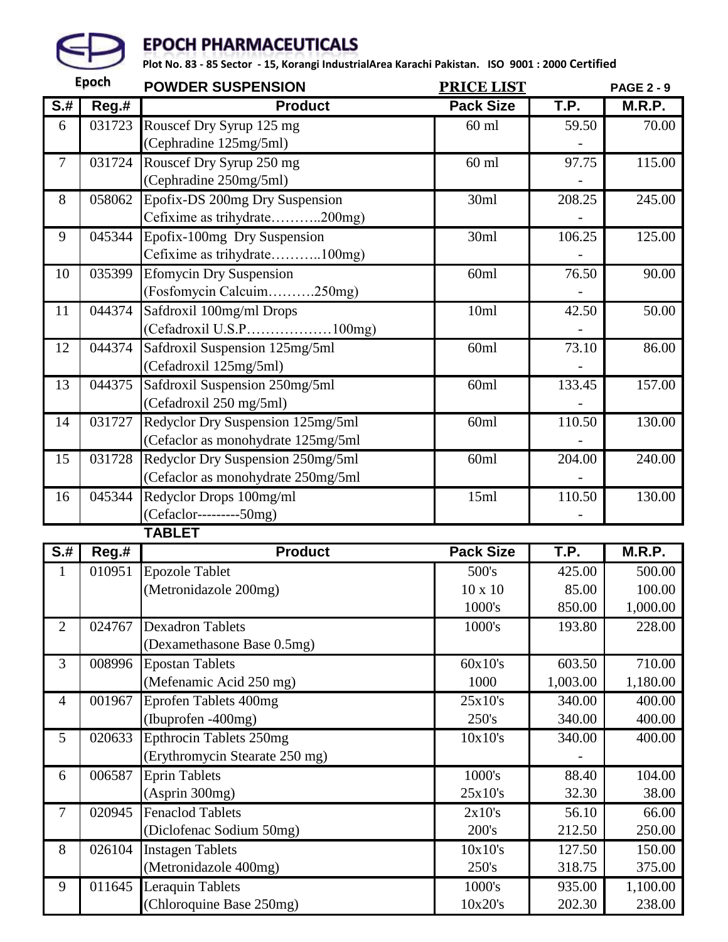

|                | <b>Epoch</b> | <b>POWDER SUSPENSION</b>           | PRICE LIST       |             | <b>PAGE 2 - 9</b>  |
|----------------|--------------|------------------------------------|------------------|-------------|--------------------|
| $S+$           | Reg.#        | <b>Product</b>                     | <b>Pack Size</b> | T.P.        | M.R.P.             |
| 6              | 031723       | Rouscef Dry Syrup 125 mg           | $60$ ml          | 59.50       | 70.00              |
|                |              | (Cephradine 125mg/5ml)             |                  |             |                    |
| $\tau$         | 031724       | Rouscef Dry Syrup 250 mg           | $60$ ml          | 97.75       | 115.00             |
|                |              | (Cephradine 250mg/5ml)             |                  |             |                    |
| 8              | 058062       | Epofix-DS 200mg Dry Suspension     | 30ml             | 208.25      | 245.00             |
|                |              | Cefixime as trihydrate200mg)       |                  |             |                    |
| 9              | 045344       | Epofix-100mg Dry Suspension        | 30ml             | 106.25      | 125.00             |
|                |              | Cefixime as trihydrate100mg)       |                  |             |                    |
| 10             | 035399       | <b>Efomycin Dry Suspension</b>     | 60ml             | 76.50       | 90.00              |
|                |              | (Fosfomycin Calcuim250mg)          |                  |             |                    |
| 11             | 044374       | Safdroxil 100mg/ml Drops           | 10ml             | 42.50       | $\overline{50.00}$ |
|                |              | (Cefadroxil U.S.P100mg)            |                  |             |                    |
| 12             | 044374       | Safdroxil Suspension 125mg/5ml     | 60ml             | 73.10       | 86.00              |
|                |              | (Cefadroxil 125mg/5ml)             |                  |             |                    |
| 13             | 044375       | Safdroxil Suspension 250mg/5ml     | 60ml             | 133.45      | 157.00             |
|                |              | (Cefadroxil 250 mg/5ml)            |                  |             |                    |
| 14             | 031727       | Redyclor Dry Suspension 125mg/5ml  | 60ml             | 110.50      | 130.00             |
|                |              | (Cefaclor as monohydrate 125mg/5ml |                  |             |                    |
| 15             | 031728       | Redyclor Dry Suspension 250mg/5ml  | 60ml             | 204.00      | 240.00             |
|                |              | (Cefaclor as monohydrate 250mg/5ml |                  |             |                    |
| 16             | 045344       | Redyclor Drops 100mg/ml            | 15ml             | 110.50      | 130.00             |
|                |              | (Cefaclor---------50mg)            |                  |             |                    |
|                |              | <b>TABLET</b>                      |                  |             |                    |
| $S+$           | Reg.#        | <b>Product</b>                     | <b>Pack Size</b> | <b>T.P.</b> | M.R.P.             |
| $\mathbf{1}$   | 010951       | <b>Epozole Tablet</b>              | 500's            | 425.00      | 500.00             |
|                |              | (Metronidazole 200mg)              | $10 \times 10$   | 85.00       | 100.00             |
|                |              |                                    | 1000's           | 850.00      | 1,000.00           |
| $\overline{2}$ | 024767       | <b>Dexadron Tablets</b>            | 1000's           | 193.80      | 228.00             |
|                |              | (Dexamethasone Base 0.5mg)         |                  |             |                    |
| 3              | 008996       | <b>Epostan Tablets</b>             | 60x10's          | 603.50      | 710.00             |
|                |              | (Mefenamic Acid 250 mg)            | 1000             | 1,003.00    | 1,180.00           |
| $\overline{4}$ | 001967       | Eprofen Tablets 400mg              | 25x10's          | 340.00      | 400.00             |
|                |              | (Ibuprofen -400mg)                 | 250's            | 340.00      | 400.00             |
| 5              | 020633       | <b>Epthrocin Tablets 250mg</b>     | 10x10's          | 340.00      | 400.00             |
|                |              | (Erythromycin Stearate 250 mg)     |                  |             |                    |
| 6              | 006587       | <b>Eprin Tablets</b>               | 1000's           | 88.40       | 104.00             |
|                |              | (Asprin 300mg)                     | 25x10's          | 32.30       | 38.00              |
| $\tau$         | 020945       | <b>Fenaclod Tablets</b>            | 2x10's           | 56.10       | 66.00              |
|                |              | (Diclofenac Sodium 50mg)           | 200's            | 212.50      | 250.00             |
| $8\,$          | 026104       | <b>Instagen Tablets</b>            | 10x10's          | 127.50      | 150.00             |
|                |              | (Metronidazole 400mg)              | 250's            | 318.75      | 375.00             |
| 9              | 011645       | Leraquin Tablets                   | 1000's           | 935.00      | 1,100.00           |
|                |              | (Chloroquine Base 250mg)           | 10x20's          | 202.30      | 238.00             |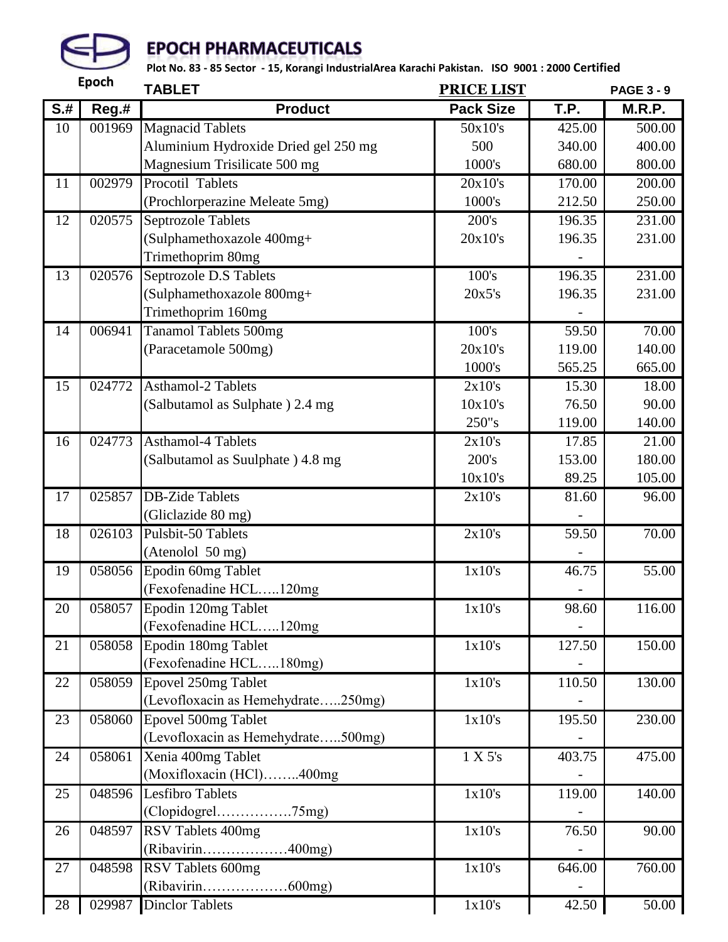

|                                          | <b>Epoch</b> | <b>TABLET</b>                        | <b>PRICE LIST</b> |        | <b>PAGE 3 - 9</b> |
|------------------------------------------|--------------|--------------------------------------|-------------------|--------|-------------------|
| $\overline{\mathsf{S} \cdot \mathsf{H}}$ | Reg.#        | <b>Product</b>                       | <b>Pack Size</b>  | T.P.   | M.R.P.            |
| 10                                       | 001969       | <b>Magnacid Tablets</b>              | 50x10's           | 425.00 | 500.00            |
|                                          |              | Aluminium Hydroxide Dried gel 250 mg | 500               | 340.00 | 400.00            |
|                                          |              | Magnesium Trisilicate 500 mg         | 1000's            | 680.00 | 800.00            |
| 11                                       | 002979       | Procotil Tablets                     | 20x10's           | 170.00 | 200.00            |
|                                          |              | (Prochlorperazine Meleate 5mg)       | 1000's            | 212.50 | 250.00            |
| 12                                       | 020575       | <b>Septrozole Tablets</b>            | 200's             | 196.35 | 231.00            |
|                                          |              | (Sulphamethoxazole 400mg+            | 20x10's           | 196.35 | 231.00            |
|                                          |              | Trimethoprim 80mg                    |                   |        |                   |
| 13                                       | 020576       | Septrozole D.S Tablets               | 100's             | 196.35 | 231.00            |
|                                          |              | (Sulphamethoxazole 800mg+            | 20x5's            | 196.35 | 231.00            |
|                                          |              | Trimethoprim 160mg                   |                   |        |                   |
| 14                                       | 006941       | <b>Tanamol Tablets 500mg</b>         | 100's             | 59.50  | 70.00             |
|                                          |              | (Paracetamole 500mg)                 | 20x10's           | 119.00 | 140.00            |
|                                          |              |                                      | 1000's            | 565.25 | 665.00            |
| 15                                       | 024772       | <b>Asthamol-2 Tablets</b>            | 2x10's            | 15.30  | 18.00             |
|                                          |              | (Salbutamol as Sulphate) 2.4 mg      | 10x10's           | 76.50  | 90.00             |
|                                          |              |                                      | 250"s             | 119.00 | 140.00            |
| 16                                       | 024773       | <b>Asthamol-4 Tablets</b>            | 2x10's            | 17.85  | 21.00             |
|                                          |              | (Salbutamol as Suulphate) 4.8 mg     | 200's             | 153.00 | 180.00            |
|                                          |              |                                      | 10x10's           | 89.25  | 105.00            |
| 17                                       | 025857       | <b>DB-Zide Tablets</b>               | 2x10's            | 81.60  | 96.00             |
|                                          |              | (Gliclazide 80 mg)                   |                   |        |                   |
| 18                                       | 026103       | Pulsbit-50 Tablets                   | 2x10's            | 59.50  | 70.00             |
|                                          |              | (Atenolol 50 mg)                     |                   |        |                   |
| 19                                       | 058056       | Epodin 60mg Tablet                   | 1x10's            | 46.75  | 55.00             |
|                                          |              | (Fexofenadine HCL120mg               |                   |        |                   |
| 20                                       | 058057       | Epodin 120mg Tablet                  | 1x10's            | 98.60  | 116.00            |
|                                          |              | (Fexofenadine HCL120mg)              |                   |        |                   |
| 21                                       | 058058       | Epodin 180mg Tablet                  | 1x10's            | 127.50 | 150.00            |
|                                          |              | (Fexofenadine HCL180mg)              |                   |        |                   |
| 22                                       | 058059       | Epovel 250mg Tablet                  | 1x10's            | 110.50 | 130.00            |
|                                          |              | (Levofloxacin as Hemehydrate250mg)   |                   |        |                   |
| 23                                       | 058060       | Epovel 500mg Tablet                  | 1x10's            | 195.50 | 230.00            |
|                                          |              | (Levofloxacin as Hemehydrate500mg)   |                   |        |                   |
| 24                                       | 058061       | Xenia 400mg Tablet                   | 1 X 5's           | 403.75 | 475.00            |
|                                          |              | (Moxifloxacin (HCl)400mg             |                   |        |                   |
| 25                                       | 048596       | Lesfibro Tablets                     | 1x10's            | 119.00 | 140.00            |
|                                          |              | $(Clopidogrel.$ 75mg)                |                   |        |                   |
| 26                                       | 048597       | RSV Tablets 400mg                    | 1x10's            | 76.50  | 90.00             |
|                                          |              | (Ribavirin400mg)                     |                   |        |                   |
| 27                                       | 048598       | RSV Tablets 600mg                    | 1x10's            | 646.00 | 760.00            |
|                                          |              | (Ribavirin600mg)                     |                   |        |                   |
| 28                                       | 029987       | <b>Dinclor Tablets</b>               | 1x10's            | 42.50  | 50.00             |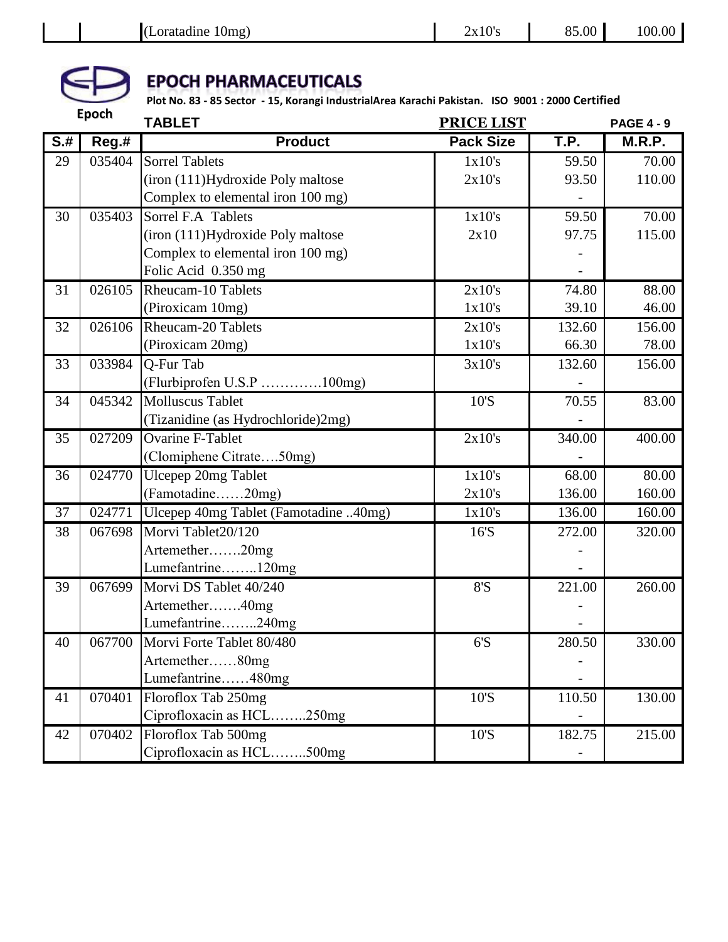

|                                          | <b>Epoch</b> | <b>TABLET</b>                         | <b>PRICE LIST</b> |        | <b>PAGE 4 - 9</b> |
|------------------------------------------|--------------|---------------------------------------|-------------------|--------|-------------------|
| $\overline{\mathsf{S} \cdot \mathsf{H}}$ | Reg.#        | <b>Product</b>                        | <b>Pack Size</b>  | T.P.   | <b>M.R.P.</b>     |
| 29                                       | 035404       | <b>Sorrel Tablets</b>                 | 1x10's            | 59.50  | 70.00             |
|                                          |              | (iron (111)Hydroxide Poly maltose     | 2x10's            | 93.50  | 110.00            |
|                                          |              | Complex to elemental iron 100 mg)     |                   |        |                   |
| 30                                       | 035403       | Sorrel F.A Tablets                    | 1x10's            | 59.50  | 70.00             |
|                                          |              | (iron (111)Hydroxide Poly maltose     | 2x10              | 97.75  | 115.00            |
|                                          |              | Complex to elemental iron 100 mg)     |                   |        |                   |
|                                          |              | Folic Acid 0.350 mg                   |                   |        |                   |
| 31                                       | 026105       | <b>Rheucam-10 Tablets</b>             | 2x10's            | 74.80  | 88.00             |
|                                          |              | (Piroxicam 10mg)                      | 1x10's            | 39.10  | 46.00             |
| 32                                       | 026106       | Rheucam-20 Tablets                    | 2x10's            | 132.60 | 156.00            |
|                                          |              | (Piroxicam 20mg)                      | 1x10's            | 66.30  | 78.00             |
| 33                                       | 033984       | Q-Fur Tab                             | 3x10's            | 132.60 | 156.00            |
|                                          |              | (Flurbiprofen U.S.P 100mg)            |                   |        |                   |
| 34                                       | 045342       | <b>Molluscus Tablet</b>               | 10'S              | 70.55  | 83.00             |
|                                          |              | (Tizanidine (as Hydrochloride)2mg)    |                   |        |                   |
| 35                                       | 027209       | <b>Ovarine F-Tablet</b>               | 2x10's            | 340.00 | 400.00            |
|                                          |              | (Clomiphene Citrate50mg)              |                   |        |                   |
| 36                                       | 024770       | Ulcepep 20mg Tablet                   | 1x10's            | 68.00  | 80.00             |
|                                          |              | (Famotadine20mg)                      | 2x10's            | 136.00 | 160.00            |
| 37                                       | 024771       | Ulcepep 40mg Tablet (Famotadine 40mg) | 1x10's            | 136.00 | 160.00            |
| 38                                       | 067698       | Morvi Tablet20/120                    | 16'S              | 272.00 | 320.00            |
|                                          |              | Artemether20mg                        |                   |        |                   |
|                                          |              | Lumefantrine120mg                     |                   |        |                   |
| 39                                       | 067699       | Morvi DS Tablet 40/240                | 8'S               | 221.00 | 260.00            |
|                                          |              | Artemether40mg                        |                   |        |                   |
|                                          |              | Lumefantrine240mg                     |                   |        |                   |
| 40                                       | 067700       | Morvi Forte Tablet 80/480             | $6'S$             | 280.50 | 330.00            |
|                                          |              | Artemether80mg                        |                   |        |                   |
|                                          |              | Lumefantrine480mg                     |                   |        |                   |
| 41                                       | 070401       | Floroflox Tab 250mg                   | 10'S              | 110.50 | 130.00            |
|                                          |              | Ciprofloxacin as HCL250mg             |                   |        |                   |
| 42                                       | 070402       | Floroflox Tab 500mg                   | 10'S              | 182.75 | 215.00            |
|                                          |              | Ciprofloxacin as HCL500mg             |                   |        |                   |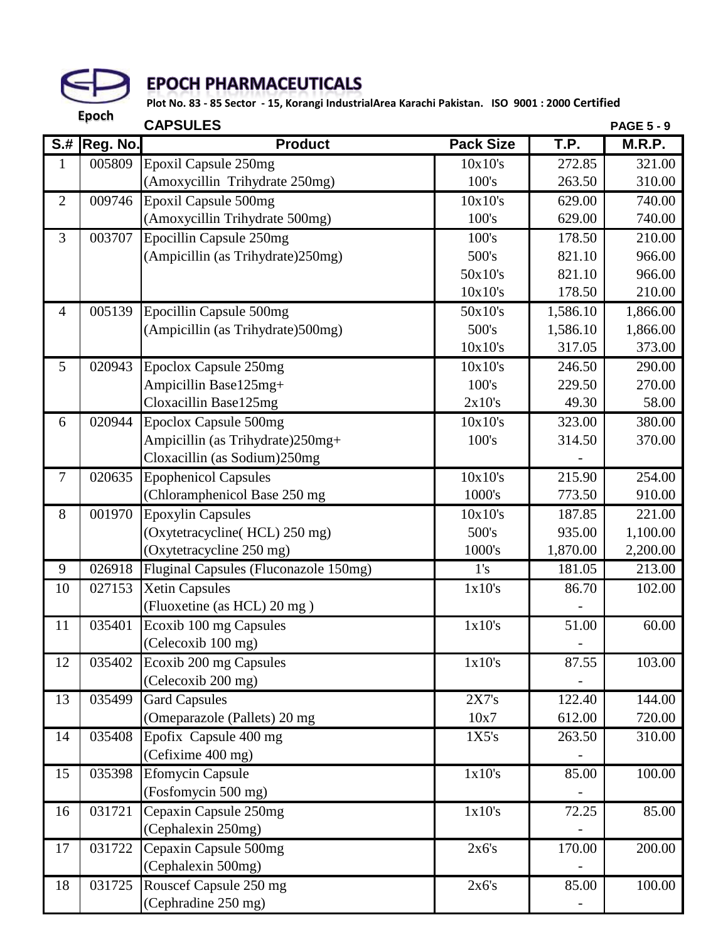

|                            | <b>Epoch</b>    | <b>CAPSULES</b>                       |                  |          | <b>PAGE 5 - 9</b> |
|----------------------------|-----------------|---------------------------------------|------------------|----------|-------------------|
| $\overline{\mathsf{S}}$ .# | <b>Reg. No.</b> | <b>Product</b>                        | <b>Pack Size</b> | T.P.     | M.R.P.            |
| $\mathbf{1}$               | 005809          | <b>Epoxil Capsule 250mg</b>           | 10x10's          | 272.85   | 321.00            |
|                            |                 | (Amoxycillin Trihydrate 250mg)        | 100's            | 263.50   | 310.00            |
| $\overline{2}$             | 009746          | Epoxil Capsule 500mg                  | 10x10's          | 629.00   | 740.00            |
|                            |                 | (Amoxycillin Trihydrate 500mg)        | 100's            | 629.00   | 740.00            |
| $\overline{3}$             | 003707          | Epocillin Capsule 250mg               | 100's            | 178.50   | 210.00            |
|                            |                 | (Ampicillin (as Trihydrate) 250mg)    | 500's            | 821.10   | 966.00            |
|                            |                 |                                       | 50x10's          | 821.10   | 966.00            |
|                            |                 |                                       | 10x10's          | 178.50   | 210.00            |
| $\overline{4}$             | 005139          | Epocillin Capsule 500mg               | 50x10's          | 1,586.10 | 1,866.00          |
|                            |                 | (Ampicillin (as Trihydrate) 500mg)    | 500's            | 1,586.10 | 1,866.00          |
|                            |                 |                                       | 10x10's          | 317.05   | 373.00            |
| 5                          | 020943          | Epoclox Capsule 250mg                 | 10x10's          | 246.50   | 290.00            |
|                            |                 | Ampicillin Base125mg+                 | 100's            | 229.50   | 270.00            |
|                            |                 | Cloxacillin Base125mg                 | 2x10's           | 49.30    | 58.00             |
| 6                          | 020944          | Epoclox Capsule 500mg                 | 10x10's          | 323.00   | 380.00            |
|                            |                 | Ampicillin (as Trihydrate)250mg+      | 100's            | 314.50   | 370.00            |
|                            |                 | Cloxacillin (as Sodium)250mg          |                  |          |                   |
| $\tau$                     | 020635          | <b>Epophenicol Capsules</b>           | 10x10's          | 215.90   | 254.00            |
|                            |                 | (Chloramphenicol Base 250 mg)         | 1000's           | 773.50   | 910.00            |
| 8                          | 001970          | <b>Epoxylin Capsules</b>              | 10x10's          | 187.85   | 221.00            |
|                            |                 | (Oxytetracycline(HCL) 250 mg)         | 500's            | 935.00   | 1,100.00          |
|                            |                 | (Oxytetracycline 250 mg)              | 1000's           | 1,870.00 | 2,200.00          |
| 9                          | 026918          | Fluginal Capsules (Fluconazole 150mg) | 1's              | 181.05   | 213.00            |
| 10                         | 027153          | <b>Xetin Capsules</b>                 | 1x10's           | 86.70    | 102.00            |
|                            |                 | (Fluoxetine (as HCL) 20 mg)           |                  |          |                   |
| 11                         | 035401          | Ecoxib 100 mg Capsules                | 1x10's           | 51.00    | 60.00             |
|                            |                 | (Celecoxib 100 mg)                    |                  |          |                   |
| 12                         | 035402          | Ecoxib 200 mg Capsules                | 1x10's           | 87.55    | 103.00            |
|                            |                 | (Celecoxib 200 mg)                    |                  |          |                   |
| 13                         | 035499          | <b>Gard Capsules</b>                  | 2X7's            | 122.40   | 144.00            |
|                            |                 | (Omeparazole (Pallets) 20 mg          | 10x7             | 612.00   | 720.00            |
| 14                         | 035408          | Epofix Capsule 400 mg                 | 1X5's            | 263.50   | 310.00            |
|                            |                 | (Cefixime 400 mg)                     |                  |          |                   |
| 15                         | 035398          | <b>Efomycin Capsule</b>               | 1x10's           | 85.00    | 100.00            |
|                            |                 | (Fosfomycin 500 mg)                   |                  |          |                   |
| 16                         | 031721          | Cepaxin Capsule 250mg                 | 1x10's           | 72.25    | 85.00             |
|                            |                 | (Cephalexin 250mg)                    |                  |          |                   |
| 17                         | 031722          | Cepaxin Capsule 500mg                 | 2x6's            | 170.00   | 200.00            |
|                            |                 | (Cephalexin 500mg)                    |                  |          |                   |
| 18                         | 031725          | Rouscef Capsule 250 mg                | 2x6's            | 85.00    | 100.00            |
|                            |                 | (Cephradine 250 mg)                   |                  |          |                   |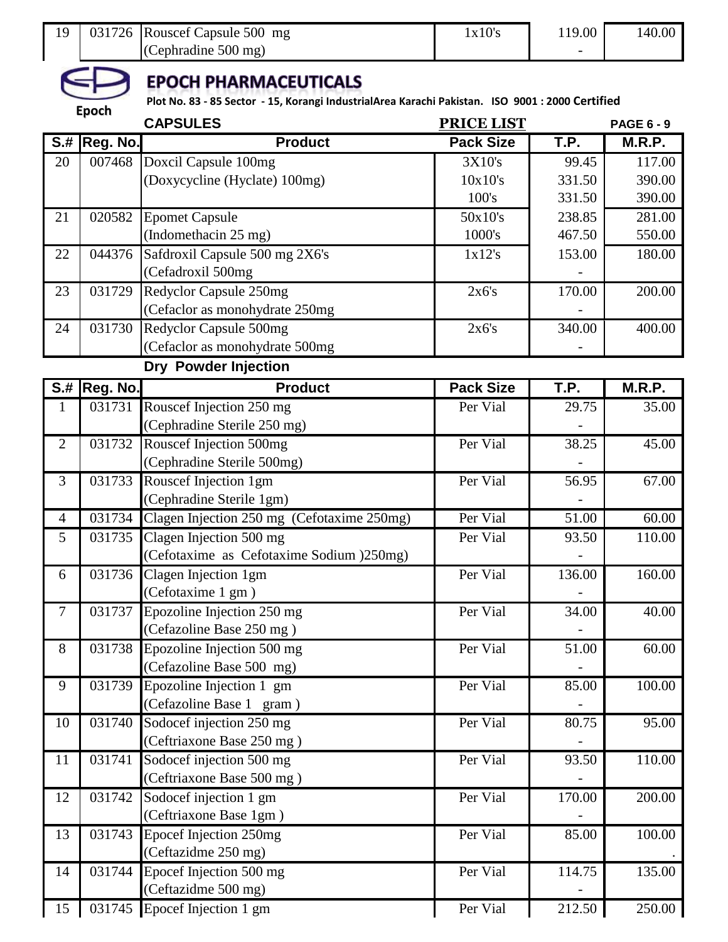| 19             | 031726              | Rouscef Capsule 500 mg<br>(Cephradine 500 mg)                                                                                   | 1x10's            | 119.00 | 140.00            |
|----------------|---------------------|---------------------------------------------------------------------------------------------------------------------------------|-------------------|--------|-------------------|
|                |                     | <b>EPOCH PHARMACEUTICALS</b><br>Plot No. 83 - 85 Sector - 15, Korangi IndustrialArea Karachi Pakistan. ISO 9001: 2000 Certified |                   |        |                   |
|                | <b>Epoch</b>        | <b>CAPSULES</b>                                                                                                                 | <b>PRICE LIST</b> |        | <b>PAGE 6 - 9</b> |
|                | <b>S.# Reg. No.</b> | <b>Product</b>                                                                                                                  | <b>Pack Size</b>  | T.P.   | M.R.P.            |
| 20             | 007468              | Doxcil Capsule 100mg                                                                                                            | 3X10's            | 99.45  | 117.00            |
|                |                     | (Doxycycline (Hyclate) 100mg)                                                                                                   | 10x10's           | 331.50 | 390.00            |
|                |                     |                                                                                                                                 | 100's             | 331.50 | 390.00            |
| 21             | 020582              | <b>Epomet Capsule</b>                                                                                                           | 50x10's           | 238.85 | 281.00            |
|                |                     | (Indomethacin 25 mg)                                                                                                            | 1000's            | 467.50 | 550.00            |
| 22             | 044376              | Safdroxil Capsule 500 mg 2X6's                                                                                                  | 1x12's            | 153.00 | 180.00            |
|                |                     | (Cefadroxil 500mg                                                                                                               |                   |        |                   |
| 23             | 031729              | Redyclor Capsule 250mg                                                                                                          | 2x6's             | 170.00 | 200.00            |
|                |                     | (Cefaclor as monohydrate 250mg                                                                                                  |                   |        |                   |
| 24             | 031730              | Redyclor Capsule 500mg                                                                                                          | 2x6's             | 340.00 | 400.00            |
|                |                     | (Cefaclor as monohydrate 500mg                                                                                                  |                   |        |                   |
|                |                     | Dry Powder Injection                                                                                                            |                   |        |                   |
|                | <b>S.# Reg. No.</b> | <b>Product</b>                                                                                                                  | <b>Pack Size</b>  | T.P.   | <b>M.R.P.</b>     |
| 1              | 031731              | Rouscef Injection 250 mg                                                                                                        | Per Vial          | 29.75  | 35.00             |
|                |                     | (Cephradine Sterile 250 mg)                                                                                                     |                   |        |                   |
| $\overline{2}$ | 031732              | Rouscef Injection 500mg                                                                                                         | Per Vial          | 38.25  | 45.00             |
|                |                     | (Cephradine Sterile 500mg)                                                                                                      |                   |        |                   |
| 3              | 031733              | Rouscef Injection 1gm                                                                                                           | Per Vial          | 56.95  | 67.00             |
|                |                     | (Cephradine Sterile 1gm)                                                                                                        |                   |        |                   |
| $\overline{4}$ | 031734              | Clagen Injection 250 mg (Cefotaxime 250mg)                                                                                      | Per Vial          | 51.00  | 60.00             |
| 5              | 031735              | Clagen Injection 500 mg                                                                                                         | Per Vial          | 93.50  | 110.00            |
|                |                     | (Cefotaxime as Cefotaxime Sodium )250mg)                                                                                        |                   |        |                   |
| 6              | 031736              | Clagen Injection 1gm                                                                                                            | Per Vial          | 136.00 | 160.00            |
|                |                     | (Cefotaxime 1 gm)                                                                                                               |                   |        |                   |
| $\overline{7}$ | 031737              | Epozoline Injection 250 mg                                                                                                      | Per Vial          | 34.00  | 40.00             |
|                |                     | (Cefazoline Base 250 mg)                                                                                                        |                   |        |                   |
| 8              | 031738              | Epozoline Injection 500 mg                                                                                                      | Per Vial          | 51.00  | 60.00             |
|                |                     | (Cefazoline Base 500 mg)                                                                                                        |                   |        |                   |
| 9              | 031739              | Epozoline Injection 1 gm                                                                                                        | Per Vial          | 85.00  | 100.00            |
|                |                     | (Cefazoline Base 1 gram)                                                                                                        |                   |        |                   |
| 10             | 031740              | Sodocef injection 250 mg                                                                                                        | Per Vial          | 80.75  | 95.00             |
|                |                     | (Ceftriaxone Base 250 mg)                                                                                                       |                   |        |                   |
| 11             | 031741              | Sodocef injection 500 mg                                                                                                        | Per Vial          | 93.50  | 110.00            |
|                |                     | (Ceftriaxone Base 500 mg)                                                                                                       |                   |        |                   |
| 12             | 031742              | Sodocef injection 1 gm                                                                                                          | Per Vial          | 170.00 | 200.00            |
|                |                     | (Ceftriaxone Base 1gm)                                                                                                          |                   |        |                   |
| 13             | 031743              | Epocef Injection 250mg                                                                                                          | Per Vial          | 85.00  | 100.00            |
|                |                     | (Ceftazidme 250 mg)                                                                                                             |                   |        |                   |
| 14             | 031744              | Epocef Injection 500 mg                                                                                                         | Per Vial          | 114.75 | 135.00            |
|                |                     | (Ceftazidme 500 mg)                                                                                                             |                   |        |                   |
| 15             |                     | 031745 Epocef Injection 1 gm                                                                                                    | Per Vial          | 212.50 | 250.00            |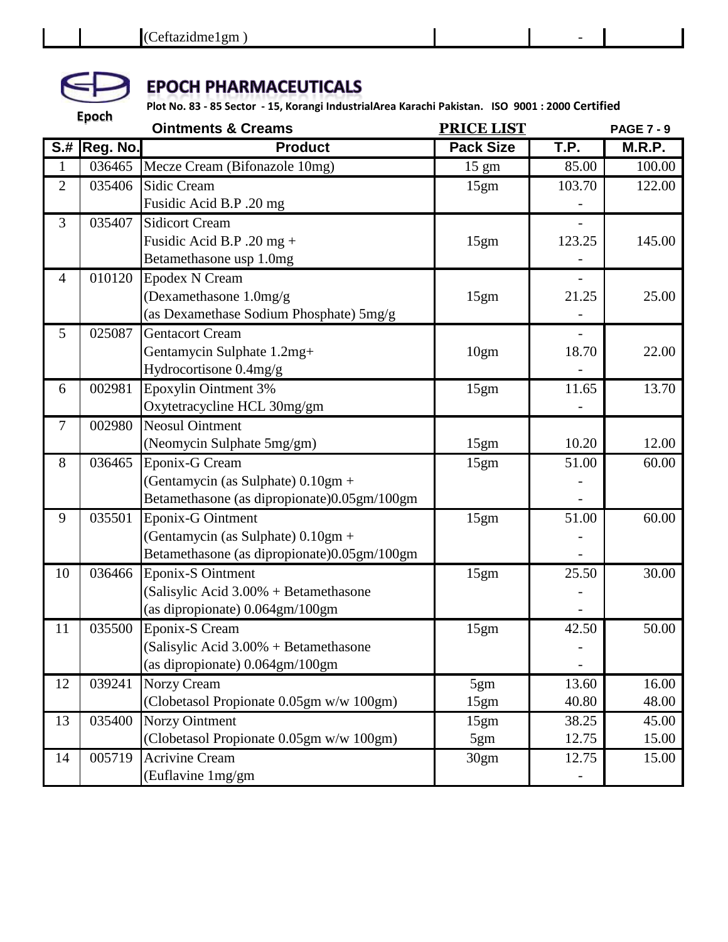

|                | <b>Epoch</b>        | <b>Ointments &amp; Creams</b>                                                       | <b>PRICE LIST</b> |        | <b>PAGE 7 - 9</b> |
|----------------|---------------------|-------------------------------------------------------------------------------------|-------------------|--------|-------------------|
|                | <b>S.# Reg. No.</b> | <b>Product</b>                                                                      | <b>Pack Size</b>  | T.P.   | M.R.P.            |
| $\mathbf{1}$   | 036465              | Mecze Cream (Bifonazole 10mg)                                                       | $15 \text{ gm}$   | 85.00  | 100.00            |
| $\overline{2}$ | 035406              | <b>Sidic Cream</b>                                                                  | 15gm              | 103.70 | 122.00            |
|                |                     | Fusidic Acid B.P .20 mg                                                             |                   |        |                   |
| 3              | 035407              | <b>Sidicort Cream</b>                                                               |                   |        |                   |
|                |                     | Fusidic Acid B.P .20 mg +                                                           | 15gm              | 123.25 | 145.00            |
|                |                     | Betamethasone usp 1.0mg                                                             |                   |        |                   |
| $\overline{4}$ | 010120              | <b>Epodex N Cream</b>                                                               |                   |        |                   |
|                |                     | (Dexamethasone 1.0mg/g)                                                             | 15gm              | 21.25  | 25.00             |
|                |                     | (as Dexamethase Sodium Phosphate) 5mg/g                                             |                   |        |                   |
| 5              | 025087              | <b>Gentacort Cream</b>                                                              |                   |        |                   |
|                |                     | Gentamycin Sulphate 1.2mg+                                                          | 10gm              | 18.70  | 22.00             |
|                |                     | Hydrocortisone 0.4mg/g                                                              |                   |        |                   |
| 6              | 002981              | Epoxylin Ointment 3%                                                                | 15gm              | 11.65  | 13.70             |
|                |                     | Oxytetracycline HCL 30mg/gm                                                         |                   |        |                   |
| 7              | 002980              | <b>Neosul Ointment</b>                                                              |                   |        |                   |
|                |                     | (Neomycin Sulphate 5mg/gm)                                                          | 15gm              | 10.20  | 12.00             |
| 8              | 036465              | Eponix-G Cream                                                                      | 15gm              | 51.00  | 60.00             |
|                |                     | (Gentamycin (as Sulphate) $0.10gm +$<br>Betamethasone (as dipropionate)0.05gm/100gm |                   |        |                   |
| 9              | 035501              | Eponix-G Ointment                                                                   |                   | 51.00  | 60.00             |
|                |                     | (Gentamycin (as Sulphate) 0.10gm +                                                  | 15gm              |        |                   |
|                |                     | Betamethasone (as dipropionate)0.05gm/100gm                                         |                   |        |                   |
| 10             | 036466              | Eponix-S Ointment                                                                   | 15gm              | 25.50  | 30.00             |
|                |                     | (Salisylic Acid 3.00% + Betamethasone                                               |                   |        |                   |
|                |                     | (as dipropionate) 0.064gm/100gm                                                     |                   |        |                   |
| 11             | 035500              | Eponix-S Cream                                                                      | 15gm              | 42.50  | 50.00             |
|                |                     | (Salisylic Acid 3.00% + Betamethasone                                               |                   |        |                   |
|                |                     | (as dipropionate) 0.064gm/100gm                                                     |                   |        |                   |
| 12             | 039241              | Norzy Cream                                                                         | 5gm               | 13.60  | 16.00             |
|                |                     | (Clobetasol Propionate 0.05gm w/w 100gm)                                            | 15gm              | 40.80  | 48.00             |
| 13             | 035400              | <b>Norzy Ointment</b>                                                               | 15gm              | 38.25  | 45.00             |
|                |                     | (Clobetasol Propionate 0.05gm w/w 100gm)                                            | 5gm               | 12.75  | 15.00             |
| 14             | 005719              | <b>Acrivine Cream</b>                                                               | 30gm              | 12.75  | 15.00             |
|                |                     | (Euflavine 1mg/gm                                                                   |                   |        |                   |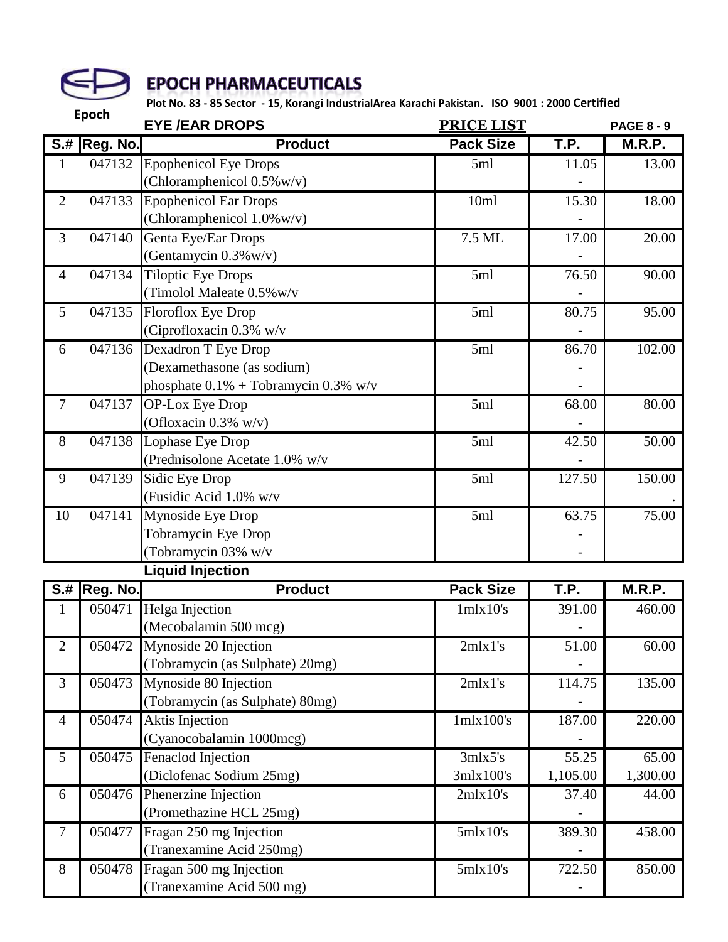

|                           | <b>Epoch</b>        | <b>EYE/EAR DROPS</b>                                                                         | <b>PRICE LIST</b>    |                   | <b>PAGE 8 - 9</b> |
|---------------------------|---------------------|----------------------------------------------------------------------------------------------|----------------------|-------------------|-------------------|
| $\overline{\mathsf{S}$ .# | Reg. No.            | <b>Product</b>                                                                               | <b>Pack Size</b>     | T.P.              | M.R.P.            |
| $\mathbf{1}$              | 047132              | <b>Epophenicol Eye Drops</b><br>(Chloramphenicol $0.5\%$ w/v)                                | 5ml                  | 11.05             | 13.00             |
| $\overline{2}$            | 047133              | <b>Epophenicol Ear Drops</b><br>(Chloramphenicol $1.0\%$ w/v)                                | 10ml                 | 15.30             | 18.00             |
| 3                         | 047140              | Genta Eye/Ear Drops<br>(Gentamycin $0.3\%$ w/v)                                              | 7.5 ML               | 17.00             | 20.00             |
| $\overline{4}$            | 047134              | <b>Tiloptic Eye Drops</b><br>(Timolol Maleate 0.5% w/v                                       | 5ml                  | 76.50             | 90.00             |
| 5                         | 047135              | Floroflox Eye Drop<br>(Ciprofloxacin 0.3% w/v                                                | 5ml                  | 80.75             | 95.00             |
| 6                         | 047136              | Dexadron T Eye Drop<br>(Dexamethasone (as sodium)<br>phosphate $0.1\%$ + Tobramycin 0.3% w/v | 5ml                  | 86.70             | 102.00            |
| $\overline{7}$            | 047137              | <b>OP-Lox Eye Drop</b><br>(Ofloxacin $0.3\%$ w/v)                                            | 5ml                  | 68.00             | 80.00             |
| 8                         | 047138              | Lophase Eye Drop<br>(Prednisolone Acetate 1.0% w/v                                           | 5ml                  | 42.50             | 50.00             |
| 9                         | 047139              | Sidic Eye Drop<br>(Fusidic Acid 1.0% w/v                                                     | 5ml                  | 127.50            | 150.00            |
| 10                        | 047141              | Mynoside Eye Drop<br>Tobramycin Eye Drop<br>(Tobramycin 03% w/v                              | 5ml                  | 63.75             | 75.00             |
|                           |                     | <b>Liquid Injection</b>                                                                      |                      |                   |                   |
| $S+$                      | Reg. No.            | <b>Product</b>                                                                               | <b>Pack Size</b>     | T.P.              | <b>M.R.P.</b>     |
| $\mathbf{1}$              | 050471              | Helga Injection<br>(Mecobalamin 500 mcg)                                                     | 1mlx10's             | 391.00            | 460.00            |
| 2                         | 050472              | Mynoside 20 Injection<br>(Tobramycin (as Sulphate) 20mg)                                     | 2m1's                | 51.00             | 60.00             |
| 3                         | 050473              | Mynoside 80 Injection<br>(Tobramycin (as Sulphate) 80mg)                                     | 2mlx1's              | 114.75            | 135.00            |
| $\overline{4}$            | $05047\overline{4}$ | Aktis Injection<br>(Cyanocobalamin 1000mcg)                                                  | $1$ mlx $100$ 's     | 187.00            | 220.00            |
| $5\overline{)}$           | 050475              | Fenaclod Injection<br>(Diclofenac Sodium 25mg)                                               | 3mlx5's<br>3mlx100's | 55.25<br>1,105.00 | 65.00<br>1,300.00 |
| 6                         | 050476              | Phenerzine Injection<br>(Promethazine HCL 25mg)                                              | 2mlx10's             | 37.40             | 44.00             |
| $\overline{7}$            | 050477              | Fragan 250 mg Injection<br>(Tranexamine Acid 250mg)                                          | 5mlx10's             | 389.30            | 458.00            |
| 8                         | 050478              | Fragan 500 mg Injection<br>(Tranexamine Acid 500 mg)                                         | 5mlx10's             | 722.50            | 850.00            |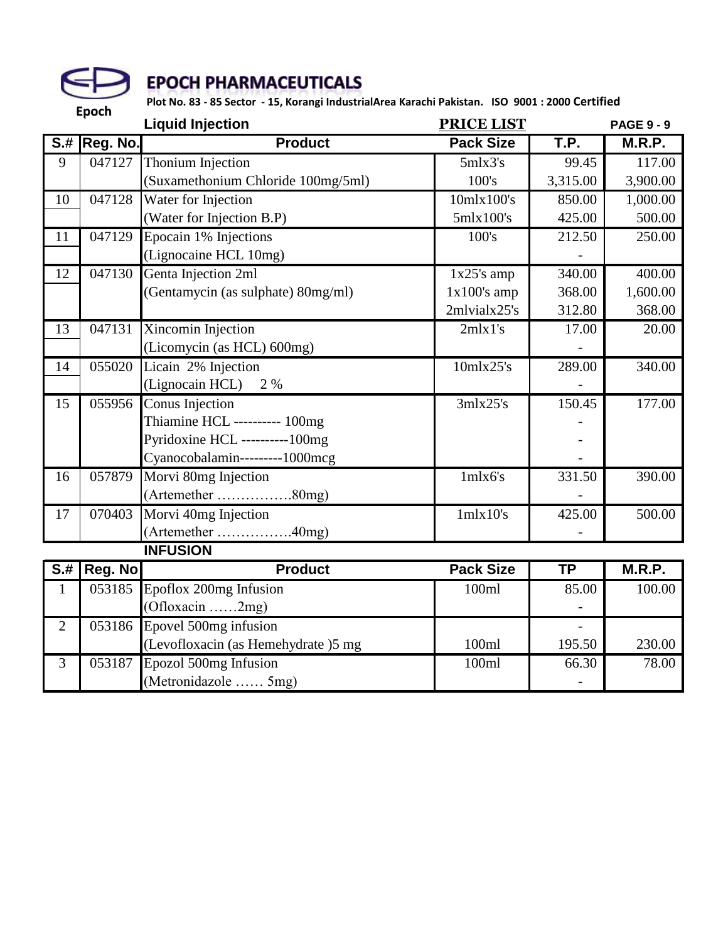

|                           | Lpoch    | <b>Liquid Injection</b>             | <b>PRICE LIST</b> |           | <b>PAGE 9 - 9</b> |
|---------------------------|----------|-------------------------------------|-------------------|-----------|-------------------|
| $\overline{\mathbf{S}$ .# | Reg. No. | <b>Product</b>                      | <b>Pack Size</b>  | T.P.      | M.R.P.            |
| 9                         | 047127   | Thonium Injection                   | 5mlx3's           | 99.45     | 117.00            |
|                           |          | (Suxamethonium Chloride 100mg/5ml)  | 100's             | 3,315.00  | 3,900.00          |
| 10                        | 047128   | Water for Injection                 | 10mlx100's        | 850.00    | 1,000.00          |
|                           |          | (Water for Injection B.P)           | 5mlx100's         | 425.00    | 500.00            |
| 11                        | 047129   | Epocain 1% Injections               | 100's             | 212.50    | 250.00            |
|                           |          | (Lignocaine HCL 10mg)               |                   |           |                   |
| 12                        | 047130   | Genta Injection 2ml                 | $1x25$ 's amp     | 340.00    | 400.00            |
|                           |          | (Gentamycin (as sulphate) 80mg/ml)  | $1x100's$ amp     | 368.00    | 1,600.00          |
|                           |          |                                     | 2mlvialx25's      | 312.80    | 368.00            |
| 13                        | 047131   | Xincomin Injection                  | 2mlx1's           | 17.00     | 20.00             |
|                           |          | (Licomycin (as HCL) 600mg)          |                   |           |                   |
| 14                        | 055020   | Licain 2% Injection                 | 10mlx25's         | 289.00    | 340.00            |
|                           |          | (Lignocain HCL) 2 %                 |                   |           |                   |
| 15                        | 055956   | Conus Injection                     | 3mlx25's          | 150.45    | 177.00            |
|                           |          | Thiamine HCL ---------- 100mg       |                   |           |                   |
|                           |          | Pyridoxine HCL ---------100mg       |                   |           |                   |
|                           |          | Cyanocobalamin---------1000mcg      |                   |           |                   |
| 16                        | 057879   | Morvi 80mg Injection                | 1mlx6's           | 331.50    | 390.00            |
|                           |          | (Artemether 80mg)                   |                   |           |                   |
| 17                        | 070403   | Morvi 40mg Injection                | 1mlx10's          | 425.00    | 500.00            |
|                           |          | (Artemether 40mg)                   |                   |           |                   |
|                           |          | <b>INFUSION</b>                     |                   |           |                   |
| $S+$                      | Reg. No  | <b>Product</b>                      | <b>Pack Size</b>  | <b>TP</b> | <b>M.R.P.</b>     |
| $\mathbf{1}$              | 053185   | Epoflox 200mg Infusion              | 100ml             | 85.00     | 100.00            |
|                           |          | $(Ofloxacin$ 2mg)                   |                   |           |                   |
| $\overline{2}$            | 053186   | Epovel 500mg infusion               |                   |           |                   |
|                           |          | (Levofloxacin (as Hemehydrate )5 mg | 100ml             | 195.50    | 230.00            |
| 3                         | 053187   | Epozol 500mg Infusion               | 100ml             | 66.30     | 78.00             |
|                           |          | (Metronidazole  5mg)                |                   |           |                   |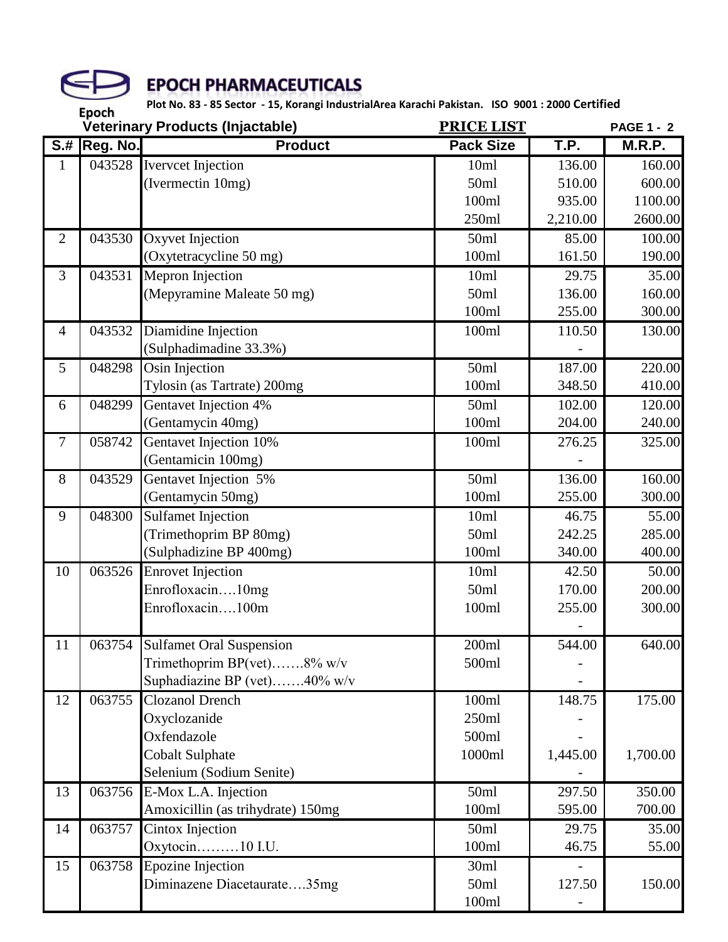

|                                          |          | Veterinary Products (Injactable)  | <b>PRICE LIST</b> |          | <b>PAGE 1 - 2</b> |
|------------------------------------------|----------|-----------------------------------|-------------------|----------|-------------------|
| $\overline{\mathsf{S} \cdot \mathsf{H}}$ | Reg. No. | <b>Product</b>                    | <b>Pack Size</b>  | T.P.     | M.R.P.            |
| 1                                        | 043528   | <b>Iverveet Injection</b>         | 10ml              | 136.00   | 160.00            |
|                                          |          | (Ivermectin 10mg)                 | 50ml              | 510.00   | 600.00            |
|                                          |          |                                   | 100ml             | 935.00   | 1100.00           |
|                                          |          |                                   | 250ml             | 2,210.00 | 2600.00           |
| $\overline{2}$                           | 043530   | Oxyvet Injection                  | 50ml              | 85.00    | 100.00            |
|                                          |          | (Oxytetracycline 50 mg)           | 100ml             | 161.50   | 190.00            |
| 3                                        | 043531   | Mepron Injection                  | 10ml              | 29.75    | 35.00             |
|                                          |          | (Mepyramine Maleate 50 mg)        | 50ml              | 136.00   | 160.00            |
|                                          |          |                                   | 100ml             | 255.00   | 300.00            |
| $\overline{4}$                           | 043532   | Diamidine Injection               | 100ml             | 110.50   | 130.00            |
|                                          |          | (Sulphadimadine 33.3%)            |                   |          |                   |
| 5                                        | 048298   | Osin Injection                    | 50ml              | 187.00   | 220.00            |
|                                          |          | Tylosin (as Tartrate) 200mg       | 100ml             | 348.50   | 410.00            |
| 6                                        | 048299   | Gentavet Injection 4%             | 50ml              | 102.00   | 120.00            |
|                                          |          | (Gentamycin 40mg)                 | 100ml             | 204.00   | 240.00            |
| $\boldsymbol{7}$                         | 058742   | Gentavet Injection 10%            | 100ml             | 276.25   | 325.00            |
|                                          |          | (Gentamicin 100mg)                |                   |          |                   |
| 8                                        | 043529   | Gentavet Injection 5%             | 50ml              | 136.00   | 160.00            |
|                                          |          | (Gentamycin 50mg)                 | 100ml             | 255.00   | 300.00            |
| 9                                        | 048300   | <b>Sulfamet Injection</b>         | 10ml              | 46.75    | 55.00             |
|                                          |          | (Trimethoprim BP 80mg)            | 50ml              | 242.25   | 285.00            |
|                                          |          | (Sulphadizine BP 400mg)           | 100ml             | 340.00   | 400.00            |
| 10                                       | 063526   | <b>Enrovet Injection</b>          | 10ml              | 42.50    | 50.00             |
|                                          |          | Enrofloxacin10mg                  | 50ml              | 170.00   | 200.00            |
|                                          |          | Enrofloxacin100m                  | 100ml             | 255.00   | 300.00            |
|                                          |          |                                   |                   |          |                   |
| 11                                       |          | 063754 Sulfamet Oral Suspension   | 200ml             | 544.00   | 640.00            |
|                                          |          | Trimethoprim BP(vet)8% w/v        | 500ml             |          |                   |
|                                          |          | Suphadiazine BP (vet)40% w/v      |                   |          |                   |
| 12                                       | 063755   | <b>Clozanol Drench</b>            | 100ml             | 148.75   | 175.00            |
|                                          |          | Oxyclozanide                      | 250ml             |          |                   |
|                                          |          | Oxfendazole                       | 500ml             |          |                   |
|                                          |          | <b>Cobalt Sulphate</b>            | 1000ml            | 1,445.00 | 1,700.00          |
|                                          |          | Selenium (Sodium Senite)          |                   |          |                   |
| 13                                       | 063756   | E-Mox L.A. Injection              | 50ml              | 297.50   | 350.00            |
|                                          |          | Amoxicillin (as trihydrate) 150mg | 100ml             | 595.00   | 700.00            |
| 14                                       | 063757   | Cintox Injection                  | 50ml              | 29.75    | 35.00             |
|                                          |          | Oxytocin10 I.U.                   | 100ml             | 46.75    | 55.00             |
| 15                                       | 063758   | <b>Epozine Injection</b>          | 30ml              |          |                   |
|                                          |          | Diminazene Diacetaurate35mg       | 50ml              | 127.50   | 150.00            |
|                                          |          |                                   | 100ml             |          |                   |